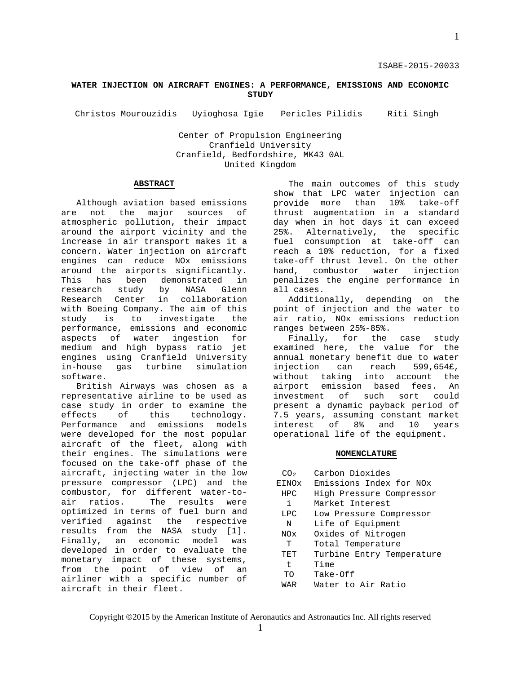#### ISABE-2015-20033

# **WATER INJECTION ON AIRCRAFT ENGINES: A PERFORMANCE, EMISSIONS AND ECONOMIC STUDY**

Christos Mourouzidis Uyioghosa Igie Pericles Pilidis Riti Singh

Center of Propulsion Engineering Cranfield University Cranfield, Bedfordshire, MK43 0AL United Kingdom

#### **ABSTRACT**

Although aviation based emissions<br>and the major sources of are not the major sources atmospheric pollution, their impact around the airport vicinity and the increase in air transport makes it a concern. Water injection on aircraft engines can reduce NOx emissions around the airports significantly.<br>This has been demonstrated in has been demonstrated in<br>rch study by NASA Glenn research Research Center in collaboration with Boeing Company. The aim of this study is to investigate the performance, emissions and economic aspects of water ingestion for medium and high bypass ratio jet engines using Cranfield University<br>in-house gas turbine simulation gas turbine software.

British Airways was chosen as a representative airline to be used as case study in order to examine the<br>effects of this technology. technology. Performance and emissions models were developed for the most popular aircraft of the fleet, along with their engines. The simulations were focused on the take-off phase of the aircraft, injecting water in the low pressure compressor (LPC) and the combustor, for different water-toair ratios. The results were optimized in terms of fuel burn and<br>verified against the respective verified against results from the NASA study [1].<br>Finally, an economic model was Finally, an economic model was developed in order to evaluate the monetary impact of these systems, from the point of view of an airliner with a specific number of aircraft in their fleet.

The main outcomes of this study show that LPC water injection can<br>provide more than 10% take-off provide more thrust augmentation in a standard day when in hot days it can exceed 25%. Alternatively, the specific fuel consumption at take-off can reach a 10% reduction, for a fixed take-off thrust level. On the other<br>hand, combustor water injection hand, combustor penalizes the engine performance in all cases.

Additionally, depending on the point of injection and the water to air ratio, NOx emissions reduction ranges between 25%-85%.

Finally, for the case study examined here, the value for the annual monetary benefit due to water<br>injection can reach 599,654£, injection can<br>without taking into account the airport emission based fees. An<br>investment of such sort could investment present a dynamic payback period of 7.5 years, assuming constant market<br>interest of 8% and 10 years interest of 8% and 10 years operational life of the equipment.

#### **NOMENCLATURE**

| CO <sub>2</sub> | Carbon Dioxides           |
|-----------------|---------------------------|
| EINOx           | Emissions Index for NOx   |
| <b>HPC</b>      | High Pressure Compressor  |
| i.              | Market Interest           |
| LPC             | Low Pressure Compressor   |
| N               | Life of Equipment         |
| NO <sub>x</sub> | Oxides of Nitrogen        |
| T               | Total Temperature         |
| TET             | Turbine Entry Temperature |
| t.              | Time                      |
| TΟ              | Take-Off                  |
| WAR             | Water to Air Ratio        |
|                 |                           |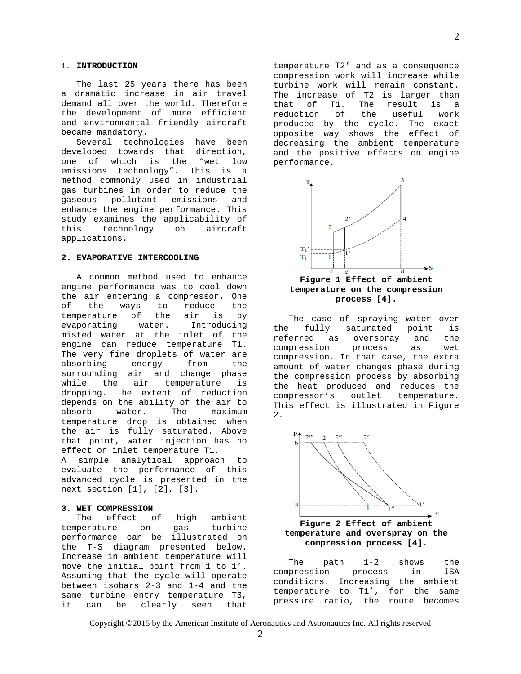The last 25 years there has been a dramatic increase in air travel demand all over the world. Therefore the development of more efficient and environmental friendly aircraft became mandatory.

Several technologies have been developed towards that direction,<br>one of which is the "wet low one of which is the "wet low<br>emissions technology". This is a emissions technology". This method commonly used in industrial gas turbines in order to reduce the<br>gaseous pollutant emissions and gaseous pollutant enhance the engine performance. This study examines the applicability of<br>this technology on aircraft technology on aircraft applications.

#### **2. EVAPORATIVE INTERCOOLING**

A common method used to enhance engine performance was to cool down the air entering a compressor. One of the ways to reduce the<br>temperature of the air is by temperature of the air is by evaporating water. Introducing misted water at the inlet of the engine can reduce temperature T1. The very fine droplets of water are<br>absorbing energy from the absorbing surrounding air and change phase<br>while the air temperature is temperature dropping. The extent of reduction depends on the ability of the air to<br>absorb water. The maximum water. The maximum temperature drop is obtained when the air is fully saturated. Above that point, water injection has no effect on inlet temperature T1. A simple analytical approach to evaluate the performance of this advanced cycle is presented in the next section [1], [2], [3].

# **3. WET COMPRESSION**

effect of high ambient<br>ure on gas turbine temperature performance can be illustrated on the T-S diagram presented below. Increase in ambient temperature will move the initial point from 1 to 1'. Assuming that the cycle will operate between isobars 2-3 and 1-4 and the same turbine entry temperature T3,<br>it can be clearly seen that seen that

temperature T2' and as a consequence compression work will increase while turbine work will remain constant. The increase of T2 is larger than<br>that of T1. The result is a that of T1. The result is a reduction of the useful work produced by the cycle. The exact opposite way shows the effect of decreasing the ambient temperature and the positive effects on engine performance.



# **temperature on the compression process [4].**

The case of spraying water over<br>the fully saturated point is saturated referred as overspray and the compression process as wet compression. In that case, the extra amount of water changes phase during the compression process by absorbing the heat produced and reduces the<br>compressor's outlet temperature. compressor's This effect is illustrated in Figure 2.



**Figure 2 Effect of ambient temperature and overspray on the compression process [4].**

The path 1-2 shows the<br>pression process in ISA compression conditions. Increasing the ambient temperature to T1', for the same pressure ratio, the route becomes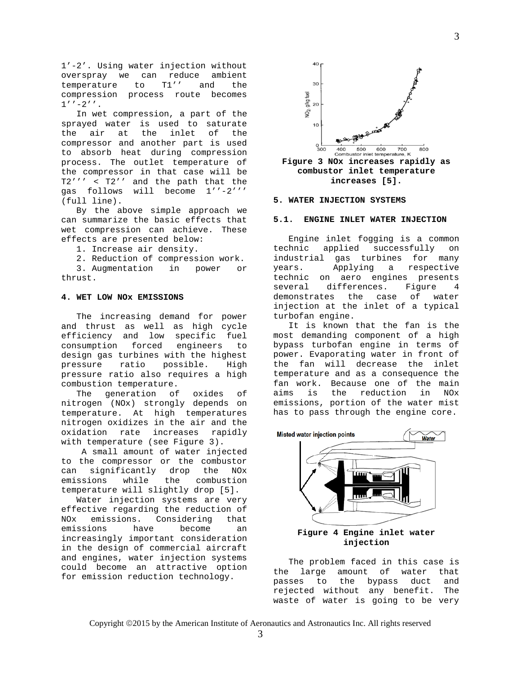1'-2'. Using water injection without overspray we can reduce ambient<br>temperature to T1'' and the temperature to T1'' and the compression process route becomes  $1'$ ' -2''.

In wet compression, a part of the sprayed water is used to saturate<br>the air at the inlet of the the air at the inlet of the compressor and another part is used to absorb heat during compression process. The outlet temperature of the compressor in that case will be T2''' < T2'' and the path that the gas follows will become 1''-2''' (full line).

By the above simple approach we can summarize the basic effects that wet compression can achieve. These effects are presented below:

1. Increase air density.

2. Reduction of compression work.

3. Augmentation in power or thrust.

# **4. WET LOW NOx EMISSIONS**

The increasing demand for power and thrust as well as high cycle efficiency and low specific fuel<br>consumption forced engineers to consumption forced engineers to design gas turbines with the highest<br>pressure ratio possible. High pressure ratio possible. High pressure ratio also requires a high combustion temperature.<br>The qeneration of

generation of oxides of nitrogen (NOx) strongly depends on temperature. At high temperatures nitrogen oxidizes in the air and the oxidation rate increases rapidly with temperature (see Figure 3).

A small amount of water injected to the compressor or the combustor<br>can significantly drop the NOx can significantly drop<br>emissions while the combustion temperature will slightly drop [5].

Water injection systems are very effective regarding the reduction of<br>NOx emissions. Considering that Considering that emissions have become an increasingly important consideration in the design of commercial aircraft and engines, water injection systems could become an attractive option for emission reduction technology.



**Figure 3 NOx increases rapidly as combustor inlet temperature increases [5].**

#### **5. WATER INJECTION SYSTEMS**

#### **5.1. ENGINE INLET WATER INJECTION**

Engine inlet fogging is a common<br>technic applied successfully on applied successfully on industrial gas turbines for many years. Applying a respective technic on aero engines presents<br>several differences. Figure 4 differences. Figure 4<br>es the case of water. demonstrates injection at the inlet of a typical turbofan engine.

It is known that the fan is the most demanding component of a high bypass turbofan engine in terms of power. Evaporating water in front of the fan will decrease the inlet temperature and as a consequence the fan work. Because one of the main reduction emissions, portion of the water mist has to pass through the engine core.



**Figure 4 Engine inlet water injection**

The problem faced in this case is the large amount of water that<br>passes to the bypass duct and the bypass duct and<br>hout any benefit. The rejected without any benefit. waste of water is going to be very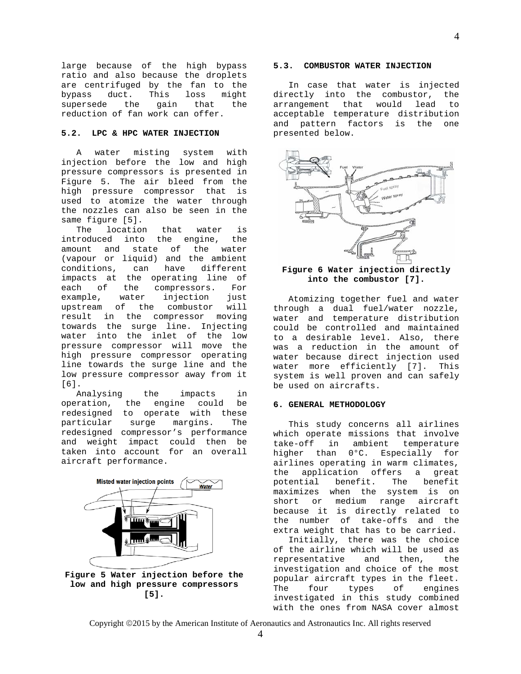large because of the high bypass ratio and also because the droplets are centrifuged by the fan to the<br>bypass duct. This loss might duct. supersede the gain that the reduction of fan work can offer.

# **5.2. LPC & HPC WATER INJECTION**

A water misting system with injection before the low and high pressure compressors is presented in Figure 5. The air bleed from the high pressure compressor that is used to atomize the water through the nozzles can also be seen in the same figure [5].<br>The location

The location that water is<br>introduced into the engine, the into the engine, amount and state of the water (vapour or liquid) and the ambient conditions, can have different impacts at the operating line of<br>each of the compressors. For each of the compressors. For<br>example, water injection just ter injection just<br>the combustor will upstream of result in the compressor moving towards the surge line. Injecting water into the inlet of the low pressure compressor will move the high pressure compressor operating line towards the surge line and the low pressure compressor away from it [6].

Analysing the impacts in<br>operation, the engine could be the engine could redesigned to operate with these<br>particular surge margins. The particular redesigned compressor's performance and weight impact could then be taken into account for an overall aircraft performance.





# **5.3. COMBUSTOR WATER INJECTION**

In case that water is injected directly into the combustor, the arrangement that would lead to acceptable temperature distribution and pattern factors is the one presented below.



# **Figure 6 Water injection directly into the combustor [7].**

Atomizing together fuel and water through a dual fuel/water nozzle, water and temperature distribution could be controlled and maintained to a desirable level. Also, there was a reduction in the amount of water because direct injection used water more efficiently [7]. This system is well proven and can safely be used on aircrafts.

#### **6. GENERAL METHODOLOGY**

This study concerns all airlines which operate missions that involve<br>take-off in ambient temperature  $take-off$  in ambient higher than 0°C. Especially for airlines operating in warm climates, the application offers a great potential benefit. The benefit maximizes when the system is on<br>short or medium range aircraft or medium range aircraft because it is directly related to the number of take-offs and the extra weight that has to be carried.

Initially, there was the choice of the airline which will be used as representative and then, the investigation and choice of the most popular aircraft types in the fleet.<br>The four types of engines engines investigated in this study combined with the ones from NASA cover almost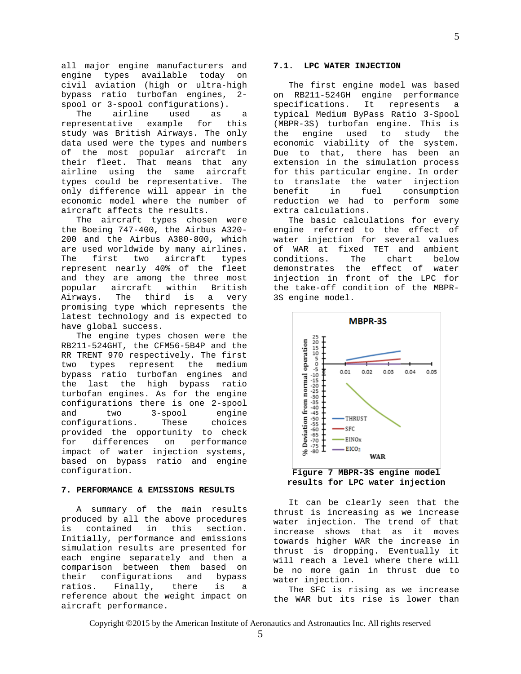all major engine manufacturers and engine types available today on civil aviation (high or ultra-high bypass ratio turbofan engines, 2 spool or 3-spool configurations).<br>The airline used as

airline used as a<br>tive example for this representative study was British Airways. The only data used were the types and numbers of the most popular aircraft in their fleet. That means that any airline using the same aircraft types could be representative. The only difference will appear in the economic model where the number of aircraft affects the results.

The aircraft types chosen were the Boeing 747-400, the Airbus A320- 200 and the Airbus A380-800, which are used worldwide by many airlines. The first two aircraft types represent nearly 40% of the fleet and they are among the three most<br>popular aircraft within British aircraft within British<br>The third is a very Airways. The third is a promising type which represents the latest technology and is expected to have global success.

The engine types chosen were the RB211-524GHT, the CFM56-5B4P and the RR TRENT 970 respectively. The first two types represent the medium bypass ratio turbofan engines and the last the high bypass ratio turbofan engines. As for the engine configurations there is one 2-spool<br>and two 3-spool engine and two 3-spool engine<br>confiqurations. These choices configurations. provided the opportunity to check for differences on performance impact of water injection systems, based on bypass ratio and engine configuration.

#### **7. PERFORMANCE & EMISSIONS RESULTS**

A summary of the main results produced by all the above procedures<br>is contained in this section. is contained in this section. Initially, performance and emissions simulation results are presented for each engine separately and then a comparison between them based on<br>their configurations and bypass their configurations and bypass<br>ratios. Finally, there is a ratios. Finally, there is a reference about the weight impact on aircraft performance.

# **7.1. LPC WATER INJECTION**

The first engine model was based on RB211-524GH engine performance<br>specifications. It represents a specifications. It represents a typical Medium ByPass Ratio 3-Spool (MBPR-3S) turbofan engine. This is the engine used to study the economic viability of the system. Due to that, there has been an extension in the simulation process for this particular engine. In order to translate the water injection consumption reduction we had to perform some extra calculations.

The basic calculations for every engine referred to the effect of water injection for several values of WAR at fixed TET and ambient<br>conditions. The chart below conditions. demonstrates the effect of water injection in front of the LPC for the take-off condition of the MBPR-3S engine model.



**Figure 7 MBPR-3S engine model results for LPC water injection**

It can be clearly seen that the thrust is increasing as we increase water injection. The trend of that increase shows that as it moves towards higher WAR the increase in thrust is dropping. Eventually it will reach a level where there will be no more gain in thrust due to water injection.

The SFC is rising as we increase the WAR but its rise is lower than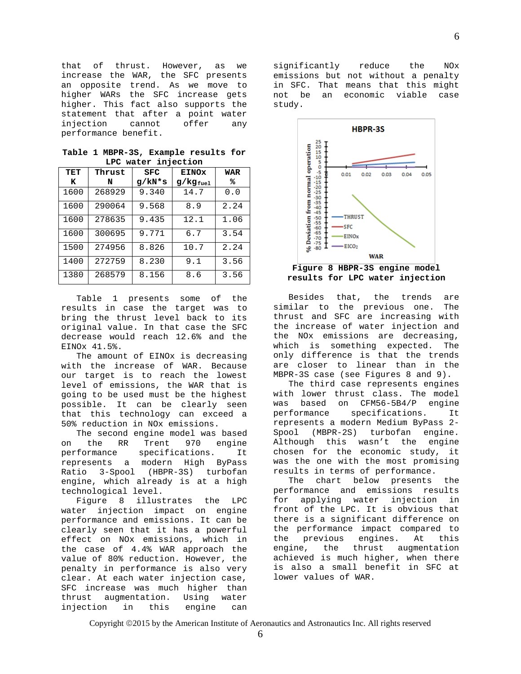that of thrust. However, as we increase the WAR, the SFC presents an opposite trend. As we move to higher WARs the SFC increase gets higher. This fact also supports the statement that after a point water<br>injection cannot offer any injection cannot offer any performance benefit.

| <b>TET</b> | Thrust | SFC    | <b>EINOx</b>  | WAR  |
|------------|--------|--------|---------------|------|
| ĸ          | N      | g/kN*s | $g/kg_{fuel}$ | ℁    |
| 1600       | 268929 | 9.340  | 14.7          | 0.0  |
| 1600       | 290064 | 9.568  | 8.9           | 2.24 |
| 1600       | 278635 | 9.435  | 12.1          | 1.06 |
| 1600       | 300695 | 9.771  | 6.7           | 3.54 |
| 1500       | 274956 | 8.826  | 10.7          | 2.24 |
| 1400       | 272759 | 8.230  | 9.1           | 3.56 |
| 1380       | 268579 | 8.156  | 8.6           | 3.56 |

**Table 1 MBPR-3S, Example results for LPC water injection**

Table 1 presents some of the results in case the target was to bring the thrust level back to its original value. In that case the SFC decrease would reach 12.6% and the EINOx 41.5%.

The amount of EINOx is decreasing with the increase of WAR. Because our target is to reach the lowest level of emissions, the WAR that is going to be used must be the highest possible. It can be clearly seen that this technology can exceed a 50% reduction in NOx emissions.

The second engine model was based<br>the RR Trent 970 engine on the RR Trent 970 engine performance specifications. It represents a modern High ByPass  $(HBPR-3S)$ engine, which already is at a high technological level.

Figure 8 illustrates the LPC water injection impact on engine performance and emissions. It can be clearly seen that it has a powerful effect on NOx emissions, which in the case of 4.4% WAR approach the value of 80% reduction. However, the penalty in performance is also very clear. At each water injection case, SFC increase was much higher than<br>thrust augmentation. Using water augmentation. Using water<br>n in this engine can injection

significantly reduce the NOx emissions but not without a penalty in SFC. That means that this might not be an economic viable case study.



Besides that, the trends are similar to the previous one. The thrust and SFC are increasing with the increase of water injection and the NOx emissions are decreasing, which is something expected. The only difference is that the trends are closer to linear than in the MBPR-3S case (see Figures 8 and 9).

The third case represents engines with lower thrust class. The model was based on CFM56-5B4/P engine<br>performance specifications. It specifications. represents a modern Medium ByPass 2- Spool (MBPR-2S) turbofan engine. Although this wasn't the engine chosen for the economic study, it was the one with the most promising results in terms of performance.

The chart below presents the performance and emissions results<br>for applying water injection in for applying water injection front of the LPC. It is obvious that there is a significant difference on the performance impact compared to the previous engines. At this<br>engine, the thrust augmentation augmentation achieved is much higher, when there is also a small benefit in SFC at lower values of WAR.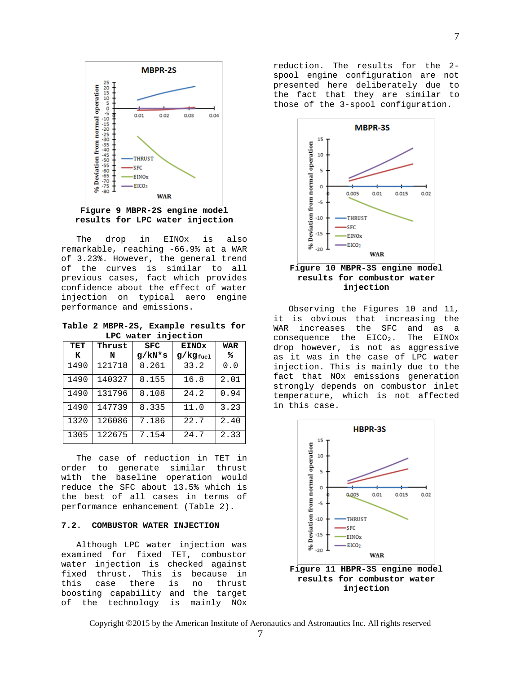

**Figure 9 MBPR-2S engine model results for LPC water injection**

The drop in EINOx is also remarkable, reaching -66.9% at a WAR of 3.23%. However, the general trend of the curves is similar to all previous cases, fact which provides confidence about the effect of water injection on typical aero engine performance and emissions.

**Table 2 MBPR-2S, Example results for LPC water injection**

| TET  | Thrust | <b>SFC</b> | <b>EINOx</b>  | WAR  |
|------|--------|------------|---------------|------|
| к    | N      | g/kN*s     | $g/kg_{fuel}$ | ℁    |
| 1490 | 121718 | 8.261      | 33.2          | 0.0  |
| 1490 | 140327 | 8.155      | 16.8          | 2.01 |
| 1490 | 131796 | 8.108      | 24.2          | 0.94 |
| 1490 | 147739 | 8.335      | 11.0          | 3.23 |
| 1320 | 126086 | 7.186      | 22.7          | 2.40 |
| 1305 | 122675 | 7.154      | 24.7          | 2.33 |

The case of reduction in TET in<br>order to generate similar thrust generate similar with the baseline operation would reduce the SFC about 13.5% which is the best of all cases in terms of performance enhancement (Table 2).

# **7.2. COMBUSTOR WATER INJECTION**

Although LPC water injection was examined for fixed TET, combustor water injection is checked against fixed thrust. This is because in<br>this case there is no thrust no thrust boosting capability and the target of the technology is mainly NOx reduction. The results for the 2 spool engine configuration are not presented here deliberately due to the fact that they are similar to those of the 3-spool configuration.



**results for combustor water injection**

Observing the Figures 10 and 11, it is obvious that increasing the<br>WAR increases the SFC and as a WAR increases the SFC and as a<br>consequence the  $EICO_2$ . The  $EINOx$ consequence the  $EICO<sub>2</sub>$ . drop however, is not as aggressive as it was in the case of LPC water injection. This is mainly due to the fact that NOx emissions generation strongly depends on combustor inlet temperature, which is not affected in this case.

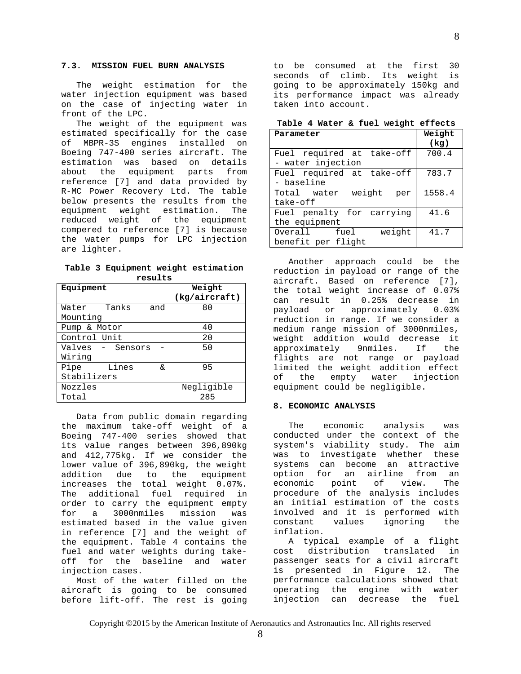# **7.3. MISSION FUEL BURN ANALYSIS**

The weight estimation for the water injection equipment was based on the case of injecting water in front of the LPC.

The weight of the equipment was estimated specifically for the case of MBPR-3S engines installed on Boeing 747-400 series aircraft. The estimation was based on details about the equipment parts from reference [7] and data provided by R-MC Power Recovery Ltd. The table below presents the results from the<br>equipment weight estimation. The equipment weight estimation. reduced weight of the equipment compered to reference [7] is because the water pumps for LPC injection are lighter.

**Table 3 Equipment weight estimation results**

| Equipment           | Weight<br>(kq/aircraft) |  |
|---------------------|-------------------------|--|
| Water Tanks<br>and  | 80                      |  |
| Mounting            |                         |  |
| Pump & Motor        | 40                      |  |
| Control Unit        | 20                      |  |
| Valves - Sensors    | 50                      |  |
| Wiring              |                         |  |
| Lines<br>Pipe<br>δ£ | 95                      |  |
| Stabilizers         |                         |  |
| Nozzles             | Negligible              |  |
| Total               | 285                     |  |

Data from public domain regarding the maximum take-off weight of a Boeing 747-400 series showed that its value ranges between 396,890kg and 412,775kg. If we consider the lower value of 396,890kg, the weight addition due to the equipment increases the total weight 0.07%. The additional fuel required in order to carry the equipment empty<br>for a 3000nmiles mission was 3000nmiles mission was estimated based in the value given in reference [7] and the weight of the equipment. Table 4 contains the fuel and water weights during takeoff for the baseline and water injection cases.

Most of the water filled on the aircraft is going to be consumed before lift-off. The rest is going to be consumed at the first 30 seconds of climb. Its weight is going to be approximately 150kg and its performance impact was already taken into account.

**Table 4 Water & fuel weight effects**

| Parameter                    | Weight<br>(kg) |
|------------------------------|----------------|
| Fuel required at take-off    | 700.4          |
| - water injection            |                |
| Fuel required at take-off    | 783.7          |
| - baseline                   |                |
| weight<br>Total water<br>per | 1558.4         |
| take-off                     |                |
| Fuel penalty for carrying    | 41.6           |
| the equipment                |                |
| weight<br>Overall fuel       | 41.7           |
| benefit per flight           |                |

Another approach could be the reduction in payload or range of the aircraft. Based on reference [7], the total weight increase of 0.07% can result in 0.25% decrease in payload or approximately 0.03% reduction in range. If we consider a medium range mission of 3000nmiles, weight addition would decrease it<br>approximately 9nmiles. If the approximately 9nmiles. flights are not range or payload limited the weight addition effect<br>of the empty water injection the empty water injection equipment could be negligible.

#### **8. ECONOMIC ANALYSIS**

The economic analysis was conducted under the context of the system's viability study. The aim was to investigate whether these systems can become an attractive option for an airline from an<br>economic point of view. The economic point of view. The procedure of the analysis includes an initial estimation of the costs involved and it is performed with<br>constant values ignoring the values ignoring inflation.

A typical example of a flight<br>at distribution translated in cost distribution translated passenger seats for a civil aircraft is presented in Figure 12. The performance calculations showed that operating the engine with water injection can decrease the fuel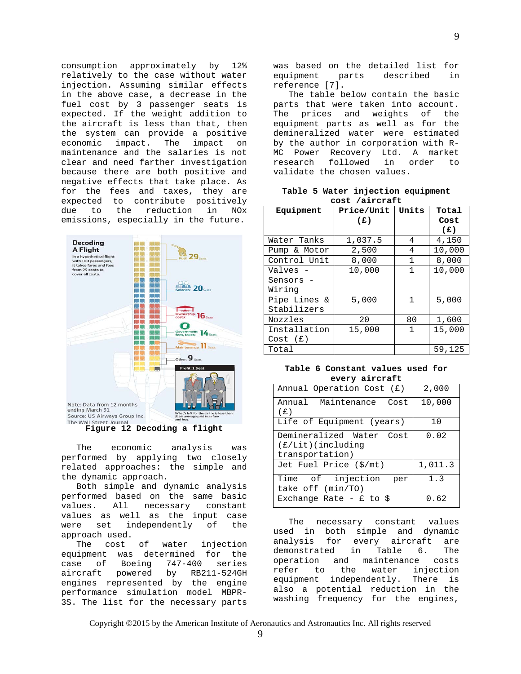consumption approximately by 12% relatively to the case without water injection. Assuming similar effects in the above case, a decrease in the fuel cost by 3 passenger seats is expected. If the weight addition to the aircraft is less than that, then the system can provide a positive economic impact. The impact on maintenance and the salaries is not clear and need farther investigation because there are both positive and negative effects that take place. As for the fees and taxes, they are expected to contribute positively<br>due to the reduction in NOx the reduction in NOx emissions, especially in the future.



**Figure 12 Decoding a flight**

The economic analysis was performed by applying two closely related approaches: the simple and the dynamic approach.

Both simple and dynamic analysis performed based on the same basic values. All necessary constant values as well as the input case<br>were set independently of the independently of the approach used.<br>The cost of

The cost of water injection equipment was determined for the<br>case of Boeing 747-400 series case of Boeing 747<br>aircraft powered by aircraft powered by RB211-524GH engines represented by the engine performance simulation model MBPR-3S. The list for the necessary parts was based on the detailed list for equipment parts described in reference [7].

The table below contain the basic parts that were taken into account. The prices and weights of the equipment parts as well as for the demineralized water were estimated by the author in corporation with R-MC Power Recovery Ltd. A market<br>research followed in order to research followed in order to validate the chosen values.

**Table 5 Water injection equipment cost /aircraft**

|              | ,          |              |        |
|--------------|------------|--------------|--------|
| Equipment    | Price/Unit | Units        | Total  |
|              | (E)        |              | Cost   |
|              |            |              | (E)    |
| Water Tanks  | 1,037.5    | 4            | 4,150  |
| Pump & Motor | 2,500      | 4            | 10,000 |
| Control Unit | 8,000      | $\mathbf{1}$ | 8,000  |
| Valves -     | 10,000     | 1            | 10,000 |
| Sensors -    |            |              |        |
| Wiring       |            |              |        |
| Pipe Lines & | 5,000      | $\mathbf{1}$ | 5,000  |
| Stabilizers  |            |              |        |
| Nozzles      | 20         | 80           | 1,600  |
| Installation | 15,000     | 1            | 15,000 |
| Cost(f)      |            |              |        |
| Total        |            |              | 59,125 |

**Table 6 Constant values used for every aircraft**

| Annual Operation Cost (£)                                           | 2,000   |
|---------------------------------------------------------------------|---------|
| Annual Maintenance<br>Cost<br>(£)                                   | 10,000  |
| Life of Equipment (years)                                           | 10      |
| Demineralized Water Cost<br>$(E/Lit)$ (including<br>transportation) | 0.02    |
| Jet Fuel Price (\$/mt)                                              | 1,011.3 |
| Time of injection<br>per<br>take off (min/TO)                       | 1.3     |
| Exchange Rate - $f$ to \$                                           | 0.62    |

The necessary constant values used in both simple and dynamic for every aircraft are<br>ted in Table 6. The demonstrated in Table 6. The<br>operation and maintenance costs operation and maintenance<br>refer to the water in injection<br>There is equipment independently. also a potential reduction in the washing frequency for the engines,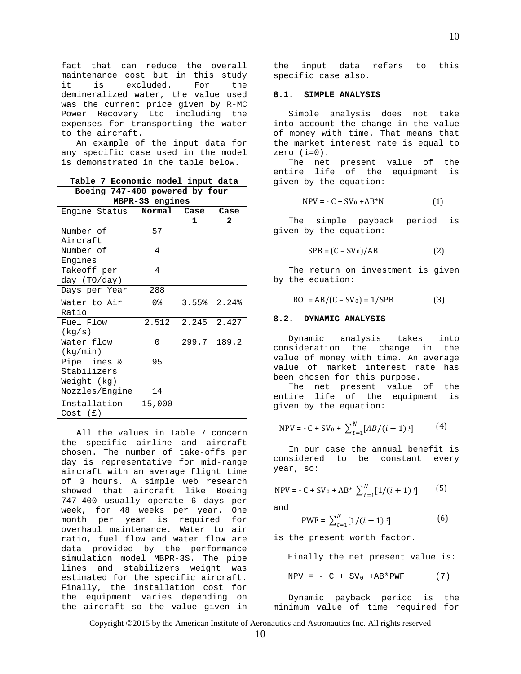fact that can reduce the overall maintenance cost but in this study<br>it is excluded. For the is excluded. For the demineralized water, the value used was the current price given by R-MC Power Recovery Ltd including the expenses for transporting the water to the aircraft.

An example of the input data for any specific case used in the model is demonstrated in the table below.

**Table 7 Economic model input data**

| Boeing 747-400 powered by four |       |              |  |
|--------------------------------|-------|--------------|--|
| MBPR-3S engines                |       |              |  |
| Normal                         | Case  | Case         |  |
|                                | 1.    | $\mathbf{2}$ |  |
| 57                             |       |              |  |
|                                |       |              |  |
| $\overline{4}$                 |       |              |  |
|                                |       |              |  |
| 4                              |       |              |  |
|                                |       |              |  |
| 288                            |       |              |  |
| 0%                             | 3.55% | 2.24%        |  |
|                                |       |              |  |
| 2.512                          | 2.245 | 2.427        |  |
|                                |       |              |  |
| $\Omega$                       | 299.7 | 189.2        |  |
|                                |       |              |  |
| 95                             |       |              |  |
|                                |       |              |  |
|                                |       |              |  |
| 14                             |       |              |  |
| 15,000                         |       |              |  |
|                                |       |              |  |

All the values in Table 7 concern the specific airline and aircraft chosen. The number of take-offs per day is representative for mid-range aircraft with an average flight time of 3 hours. A simple web research showed that aircraft like Boeing 747-400 usually operate 6 days per week, for 48 weeks per year. One month per year is required for overhaul maintenance. Water to air ratio, fuel flow and water flow are data provided by the performance simulation model MBPR-3S. The pipe lines and stabilizers weight was estimated for the specific aircraft. Finally, the installation cost for the equipment varies depending on the aircraft so the value given in

the input data refers to this specific case also.

## **8.1. SIMPLE ANALYSIS**

Simple analysis does not take into account the change in the value of money with time. That means that the market interest rate is equal to zero  $(i=0)$ .

The net present value of the entire life of the equipment is given by the equation:

$$
NPV = -C + SV_0 + AB^*N
$$
 (1)

The simple payback period is given by the equation:

$$
SPB = (C - SV_0)/AB \tag{2}
$$

The return on investment is given by the equation:

$$
ROI = AB/(C - SV0) = 1/SPB
$$
 (3)

#### **8.2. DYNAMIC ANALYSIS**

Dynamic analysis takes into consideration the change in the value of money with time. An average value of market interest rate has been chosen for this purpose.

The net present value of the entire life of the equipment is given by the equation:

$$
NPV = -C + SV_0 + \sum_{t=1}^{N} [AB/(i + 1) t] \tag{4}
$$

In our case the annual benefit is considered to be constant every year, so:

$$
NPV = -C + SV_0 + AB^* \sum_{t=1}^{N} [1/(i+1)^t] \tag{5}
$$

and

$$
PWF = \sum_{t=1}^{N} [1/(i+1) t]
$$
 (6)

is the present worth factor.

Finally the net present value is:  $NPV = - C + SV_0 + AB*PWF$  (7)

Dynamic payback period is the minimum value of time required for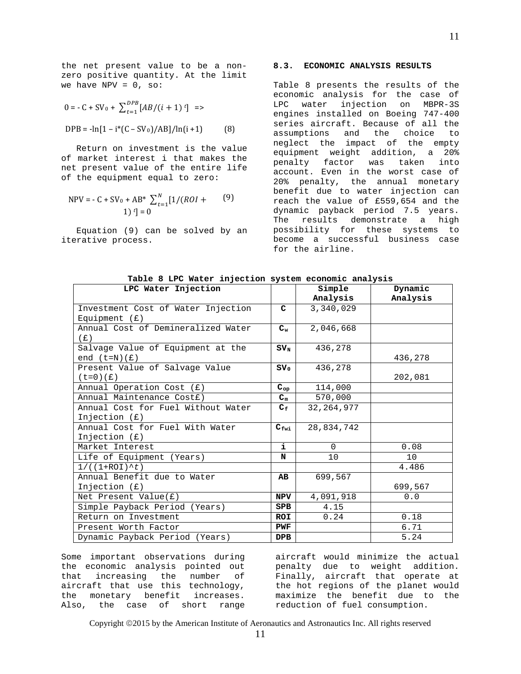the net present value to be a nonzero positive quantity. At the limit we have NPV =  $0, so:$ 

$$
0 = -C + SV_0 + \sum_{t=1}^{DPB} [AB/(i + 1) t] \implies
$$
  
DPB = -ln[1 - i\*(C - SV\_0)/AB]/ln(i + 1) (8)

Return on investment is the value of market interest i that makes the net present value of the entire life of the equipment equal to zero:

$$
NPV = -C + SV_0 + AB^* \sum_{t=1}^{N} [1/(ROI + 1)]^{t}] = 0
$$
\n(9)

Equation (9) can be solved by an iterative process.

# **8.3. ECONOMIC ANALYSIS RESULTS**

Table 8 presents the results of the economic analysis for the case of LPC water injection on MBPR-3S engines installed on Boeing 747-400 series aircraft. Because of all the assumptions and the choice to neglect the impact of the empty equipment weight addition, a 20% penalty factor was taken into account. Even in the worst case of 20% penalty, the annual monetary benefit due to water injection can reach the value of £559,654 and the dynamic payback period 7.5 years. The results demonstrate a high possibility for these systems to become a successful business case for the airline.

| LPC Water Injection                |                           | Simple       | Dynamic  |
|------------------------------------|---------------------------|--------------|----------|
|                                    |                           | Analysis     | Analysis |
| Investment Cost of Water Injection | C                         | 3,340,029    |          |
| Equipment $(E)$                    |                           |              |          |
| Annual Cost of Demineralized Water | $C_w$                     | 2,046,668    |          |
| (E)                                |                           |              |          |
| Salvage Value of Equipment at the  | $SV_{N}$                  | 436,278      |          |
| end $(t=N)(f)$                     |                           |              | 436,278  |
| Present Value of Salvage Value     | $\texttt{SV}_0$           | 436,278      |          |
| $(t=0)$ $(E)$                      |                           |              | 202,081  |
| Annual Operation Cost (£)          | $\mathtt{C_{op}}$         | 114,000      |          |
| Annual Maintenance Costf)          | $C_m$                     | 570,000      |          |
| Annual Cost for Fuel Without Water | $\mathbf{C}_{\mathbf{f}}$ | 32, 264, 977 |          |
| Injection $(E)$                    |                           |              |          |
| Annual Cost for Fuel With Water    | $C_{\text{fwi}}$          | 28,834,742   |          |
| Injection $(E)$                    |                           |              |          |
| Market Interest                    | i.                        | $\Omega$     | 0.08     |
| Life of Equipment (Years)          | N                         | 10           | 10       |
| $1/((1+ROI)^{t})$                  |                           |              | 4.486    |
| Annual Benefit due to Water        | AB                        | 699,567      |          |
| Injection (f)                      |                           |              | 699,567  |
| Net Present Value $(E)$            | NPV                       | 4,091,918    | 0.0      |
| Simple Payback Period (Years)      | <b>SPB</b>                | 4.15         |          |
| Return on Investment               | ROI                       | 0.24         | 0.18     |
| Present Worth Factor               | PWF                       |              | 6.71     |
| Dynamic Payback Period (Years)     | <b>DPB</b>                |              | 5.24     |

**Table 8 LPC Water injection system economic analysis**

Some important observations during the economic analysis pointed out that increasing the number of aircraft that use this technology, the monetary benefit increases. Also, the case of short range aircraft would minimize the actual penalty due to weight addition. Finally, aircraft that operate at the hot regions of the planet would maximize the benefit due to the reduction of fuel consumption.